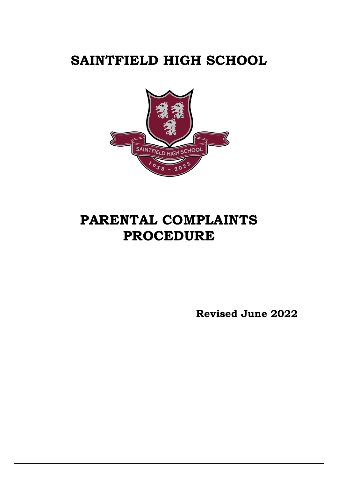# **SAINTFIELD HIGH SCHOOL**



# **PARENTAL COMPLAINTS PROCEDURE**

**Revised June 2022**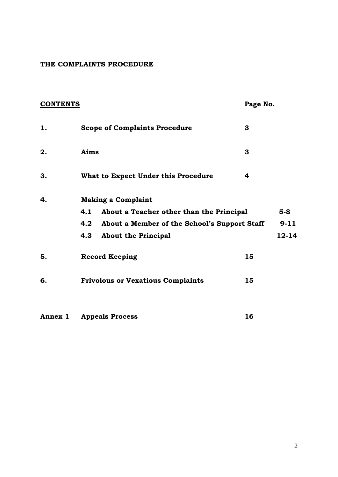#### **THE COMPLAINTS PROCEDURE**

| <b>CONTENTS</b> |                                                     | Page No. |           |
|-----------------|-----------------------------------------------------|----------|-----------|
| 1.              | <b>Scope of Complaints Procedure</b>                | 3        |           |
| 2.              | Aims                                                | 3        |           |
| 3.              | What to Expect Under this Procedure                 | 4        |           |
| 4.              | <b>Making a Complaint</b>                           |          |           |
|                 | 4.1<br>About a Teacher other than the Principal     |          | $5-8$     |
|                 | 4.2<br>About a Member of the School's Support Staff |          | $9 - 11$  |
|                 | 4.3<br><b>About the Principal</b>                   |          | $12 - 14$ |
| 5.              | <b>Record Keeping</b>                               | 15       |           |
| 6.              | <b>Frivolous or Vexatious Complaints</b>            | 15       |           |
| Annex 1         | <b>Appeals Process</b>                              | 16       |           |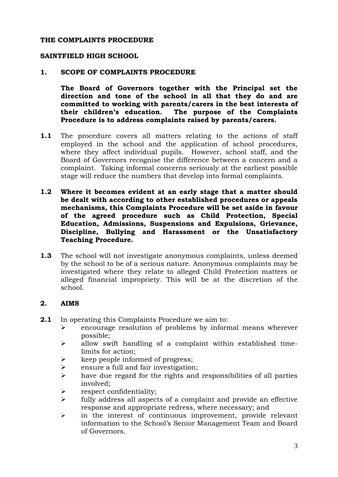#### **THE COMPLAINTS PROCEDURE**

#### **SAINTFIELD HIGH SCHOOL**

#### **1. SCOPE OF COMPLAINTS PROCEDURE**

**The Board of Governors together with the Principal set the direction and tone of the school in all that they do and are committed to working with parents/carers in the best interests of their children's education. The purpose of the Complaints Procedure is to address complaints raised by parents/carers.** 

- **1.1** The procedure covers all matters relating to the actions of staff employed in the school and the application of school procedures, where they affect individual pupils. However, school staff, and the Board of Governors recognise the difference between a concern and a complaint. Taking informal concerns seriously at the earliest possible stage will reduce the numbers that develop into formal complaints.
- **1.2 Where it becomes evident at an early stage that a matter should be dealt with according to other established procedures or appeals mechanisms, this Complaints Procedure will be set aside in favour of the agreed procedure such as Child Protection, Special Education, Admissions, Suspensions and Expulsions, Grievance, Discipline, Bullying and Harassment or the Unsatisfactory Teaching Procedure.**
- **1.3** The school will not investigate anonymous complaints, unless deemed by the school to be of a serious nature. Anonymous complaints may be investigated where they relate to alleged Child Protection matters or alleged financial impropriety. This will be at the discretion of the school.

## **2. AIMS**

- **2.1** In operating this Complaints Procedure we aim to:
	- $\triangleright$  encourage resolution of problems by informal means wherever possible;
	- $\triangleright$  allow swift handling of a complaint within established timelimits for action;
	- $\triangleright$  keep people informed of progress;
	- $\triangleright$  ensure a full and fair investigation;
	- $\triangleright$  have due regard for the rights and responsibilities of all parties involved;
	- respect confidentiality;
	- $\triangleright$  fully address all aspects of a complaint and provide an effective response and appropriate redress, where necessary; and
	- $\triangleright$  in the interest of continuous improvement, provide relevant information to the School's Senior Management Team and Board of Governors.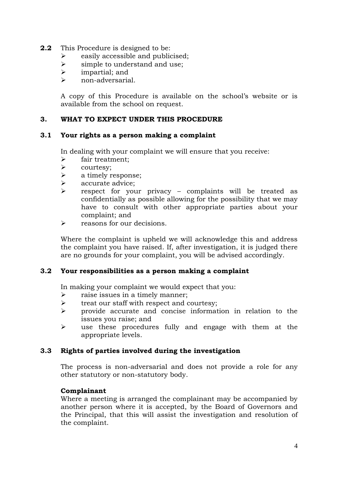- **2.2** This Procedure is designed to be:
	- $\triangleright$  easily accessible and publicised;
	- $\triangleright$  simple to understand and use;
	- $\triangleright$  impartial; and
	- non-adversarial.

A copy of this Procedure is available on the school's website or is available from the school on request.

## **3. WHAT TO EXPECT UNDER THIS PROCEDURE**

## **3.1 Your rights as a person making a complaint**

In dealing with your complaint we will ensure that you receive:

- $\triangleright$  fair treatment;
- $\triangleright$  courtesy;
- $\triangleright$  a timely response;
- $\triangleright$  accurate advice;
- $\triangleright$  respect for your privacy complaints will be treated as confidentially as possible allowing for the possibility that we may have to consult with other appropriate parties about your complaint; and
- $\triangleright$  reasons for our decisions.

Where the complaint is upheld we will acknowledge this and address the complaint you have raised. If, after investigation, it is judged there are no grounds for your complaint, you will be advised accordingly.

## **3.2 Your responsibilities as a person making a complaint**

In making your complaint we would expect that you:

- $\triangleright$  raise issues in a timely manner;
- $\triangleright$  treat our staff with respect and courtesy;
- $\triangleright$  provide accurate and concise information in relation to the issues you raise; and
- $\triangleright$  use these procedures fully and engage with them at the appropriate levels.

# **3.3 Rights of parties involved during the investigation**

The process is non-adversarial and does not provide a role for any other statutory or non-statutory body.

## **Complainant**

Where a meeting is arranged the complainant may be accompanied by another person where it is accepted, by the Board of Governors and the Principal, that this will assist the investigation and resolution of the complaint.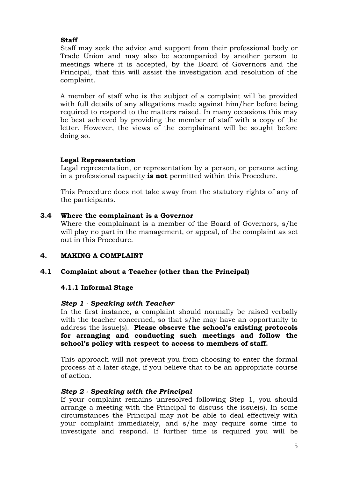# **Staff**

Staff may seek the advice and support from their professional body or Trade Union and may also be accompanied by another person to meetings where it is accepted, by the Board of Governors and the Principal, that this will assist the investigation and resolution of the complaint.

A member of staff who is the subject of a complaint will be provided with full details of any allegations made against him/her before being required to respond to the matters raised. In many occasions this may be best achieved by providing the member of staff with a copy of the letter. However, the views of the complainant will be sought before doing so.

# **Legal Representation**

Legal representation, or representation by a person, or persons acting in a professional capacity **is not** permitted within this Procedure.

This Procedure does not take away from the statutory rights of any of the participants.

# **3.4 Where the complainant is a Governor**

Where the complainant is a member of the Board of Governors, s/he will play no part in the management, or appeal, of the complaint as set out in this Procedure.

# **4. MAKING A COMPLAINT**

# **4.1 Complaint about a Teacher (other than the Principal)**

## **4.1.1 Informal Stage**

## *Step 1 - Speaking with Teacher*

In the first instance, a complaint should normally be raised verbally with the teacher concerned, so that s/he may have an opportunity to address the issue(s). **Please observe the school's existing protocols for arranging and conducting such meetings and follow the school's policy with respect to access to members of staff.** 

This approach will not prevent you from choosing to enter the formal process at a later stage, if you believe that to be an appropriate course of action.

## *Step 2 - Speaking with the Principal*

If your complaint remains unresolved following Step 1, you should arrange a meeting with the Principal to discuss the issue(s). In some circumstances the Principal may not be able to deal effectively with your complaint immediately, and s/he may require some time to investigate and respond. If further time is required you will be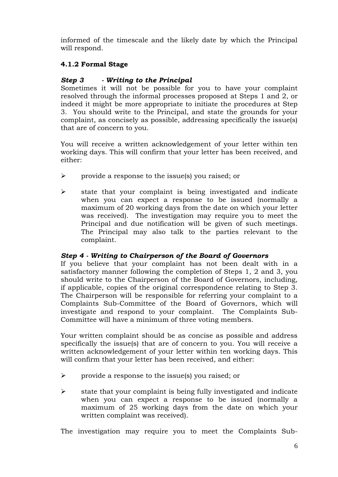informed of the timescale and the likely date by which the Principal will respond.

# **4.1.2 Formal Stage**

# *Step 3 - Writing to the Principal*

Sometimes it will not be possible for you to have your complaint resolved through the informal processes proposed at Steps 1 and 2, or indeed it might be more appropriate to initiate the procedures at Step 3. You should write to the Principal, and state the grounds for your complaint, as concisely as possible, addressing specifically the issue(s) that are of concern to you.

You will receive a written acknowledgement of your letter within ten working days. This will confirm that your letter has been received, and either:

- $\triangleright$  provide a response to the issue(s) you raised; or
- $\triangleright$  state that your complaint is being investigated and indicate when you can expect a response to be issued (normally a maximum of 20 working days from the date on which your letter was received). The investigation may require you to meet the Principal and due notification will be given of such meetings. The Principal may also talk to the parties relevant to the complaint.

# *Step 4 - Writing to Chairperson of the Board of Governors*

If you believe that your complaint has not been dealt with in a satisfactory manner following the completion of Steps 1, 2 and 3, you should write to the Chairperson of the Board of Governors, including, if applicable, copies of the original correspondence relating to Step 3. The Chairperson will be responsible for referring your complaint to a Complaints Sub-Committee of the Board of Governors, which will investigate and respond to your complaint. The Complaints Sub-Committee will have a minimum of three voting members.

Your written complaint should be as concise as possible and address specifically the issue(s) that are of concern to you. You will receive a written acknowledgement of your letter within ten working days. This will confirm that your letter has been received, and either:

- $\triangleright$  provide a response to the issue(s) you raised; or
- $\triangleright$  state that your complaint is being fully investigated and indicate when you can expect a response to be issued (normally a maximum of 25 working days from the date on which your written complaint was received).

The investigation may require you to meet the Complaints Sub-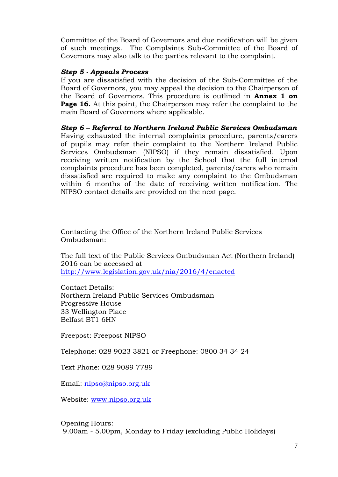Committee of the Board of Governors and due notification will be given of such meetings. The Complaints Sub-Committee of the Board of Governors may also talk to the parties relevant to the complaint.

#### *Step 5 - Appeals Process*

If you are dissatisfied with the decision of the Sub-Committee of the Board of Governors, you may appeal the decision to the Chairperson of the Board of Governors. This procedure is outlined in **Annex 1 on Page 16.** At this point, the Chairperson may refer the complaint to the main Board of Governors where applicable.

*Step 6 – Referral to Northern Ireland Public Services Ombudsman* Having exhausted the internal complaints procedure, parents/carers of pupils may refer their complaint to the Northern Ireland Public Services Ombudsman (NIPSO) if they remain dissatisfied. Upon receiving written notification by the School that the full internal complaints procedure has been completed, parents/carers who remain dissatisfied are required to make any complaint to the Ombudsman within 6 months of the date of receiving written notification. The NIPSO contact details are provided on the next page.

Contacting the Office of the Northern Ireland Public Services Ombudsman:

The full text of the Public Services Ombudsman Act (Northern Ireland) 2016 can be accessed at <http://www.legislation.gov.uk/nia/2016/4/enacted>

Contact Details: Northern Ireland Public Services Ombudsman Progressive House 33 Wellington Place Belfast BT1 6HN

Freepost: Freepost NIPSO

Telephone: 028 9023 3821 or Freephone: 0800 34 34 24

Text Phone: 028 9089 7789

Email: [nipso@nipso.org.uk](mailto:nipso@nipso.org.uk)

Website: [www.nipso.org.uk](http://www.nipso.org.uk/)

Opening Hours: 9.00am - 5.00pm, Monday to Friday (excluding Public Holidays)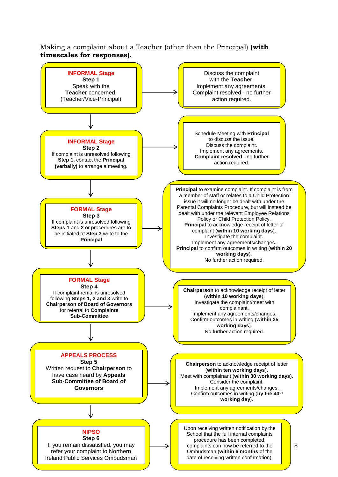Making a complaint about a Teacher (other than the Principal) **(with timescales for responses).**

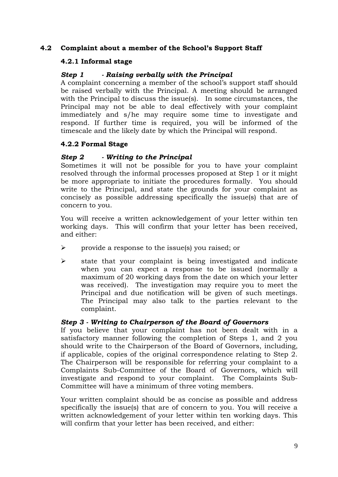# **4.2 Complaint about a member of the School's Support Staff**

# **4.2.1 Informal stage**

# *Step 1 - Raising verbally with the Principal*

A complaint concerning a member of the school's support staff should be raised verbally with the Principal. A meeting should be arranged with the Principal to discuss the issue(s). In some circumstances, the Principal may not be able to deal effectively with your complaint immediately and s/he may require some time to investigate and respond. If further time is required, you will be informed of the timescale and the likely date by which the Principal will respond.

# **4.2.2 Formal Stage**

# *Step 2 - Writing to the Principal*

Sometimes it will not be possible for you to have your complaint resolved through the informal processes proposed at Step 1 or it might be more appropriate to initiate the procedures formally. You should write to the Principal, and state the grounds for your complaint as concisely as possible addressing specifically the issue(s) that are of concern to you.

You will receive a written acknowledgement of your letter within ten working days. This will confirm that your letter has been received, and either:

- $\triangleright$  provide a response to the issue(s) you raised; or
- $\triangleright$  state that your complaint is being investigated and indicate when you can expect a response to be issued (normally a maximum of 20 working days from the date on which your letter was received). The investigation may require you to meet the Principal and due notification will be given of such meetings. The Principal may also talk to the parties relevant to the complaint.

## *Step 3 - Writing to Chairperson of the Board of Governors*

If you believe that your complaint has not been dealt with in a satisfactory manner following the completion of Steps 1, and 2 you should write to the Chairperson of the Board of Governors, including, if applicable, copies of the original correspondence relating to Step 2. The Chairperson will be responsible for referring your complaint to a Complaints Sub-Committee of the Board of Governors, which will investigate and respond to your complaint. The Complaints Sub-Committee will have a minimum of three voting members.

Your written complaint should be as concise as possible and address specifically the issue(s) that are of concern to you. You will receive a written acknowledgement of your letter within ten working days. This will confirm that your letter has been received, and either: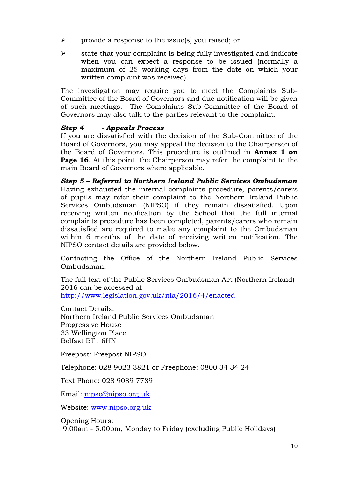- $\triangleright$  provide a response to the issue(s) you raised; or
- $\triangleright$  state that your complaint is being fully investigated and indicate when you can expect a response to be issued (normally a maximum of 25 working days from the date on which your written complaint was received).

The investigation may require you to meet the Complaints Sub-Committee of the Board of Governors and due notification will be given of such meetings. The Complaints Sub-Committee of the Board of Governors may also talk to the parties relevant to the complaint.

# *Step 4 - Appeals Process*

If you are dissatisfied with the decision of the Sub-Committee of the Board of Governors, you may appeal the decision to the Chairperson of the Board of Governors. This procedure is outlined in **Annex 1 on Page 16**. At this point, the Chairperson may refer the complaint to the main Board of Governors where applicable.

*Step 5 – Referral to Northern Ireland Public Services Ombudsman* Having exhausted the internal complaints procedure, parents/carers of pupils may refer their complaint to the Northern Ireland Public Services Ombudsman (NIPSO) if they remain dissatisfied. Upon receiving written notification by the School that the full internal complaints procedure has been completed, parents/carers who remain dissatisfied are required to make any complaint to the Ombudsman within 6 months of the date of receiving written notification. The NIPSO contact details are provided below.

Contacting the Office of the Northern Ireland Public Services Ombudsman:

The full text of the Public Services Ombudsman Act (Northern Ireland) 2016 can be accessed at <http://www.legislation.gov.uk/nia/2016/4/enacted>

Contact Details: Northern Ireland Public Services Ombudsman Progressive House 33 Wellington Place Belfast BT1 6HN

Freepost: Freepost NIPSO

Telephone: 028 9023 3821 or Freephone: 0800 34 34 24

Text Phone: 028 9089 7789

Email: [nipso@nipso.org.uk](mailto:nipso@nipso.org.uk)

Website: [www.nipso.org.uk](http://www.nipso.org.uk/)

Opening Hours: 9.00am - 5.00pm, Monday to Friday (excluding Public Holidays)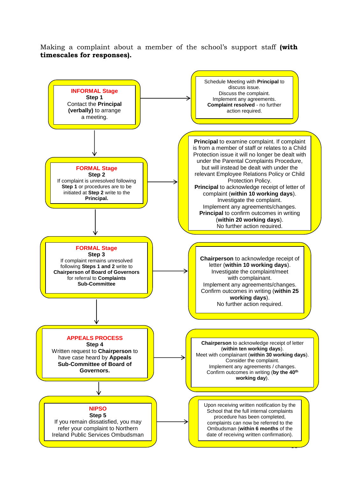Making a complaint about a member of the school's support staff **(with timescales for responses).**

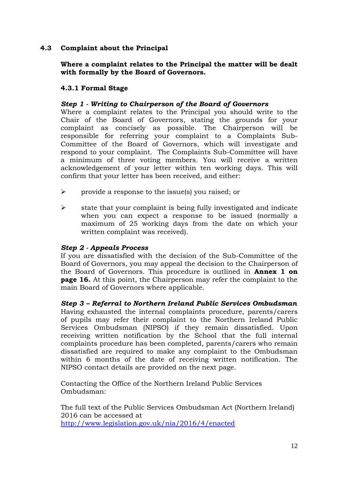# **4.3 Complaint about the Principal**

## **Where a complaint relates to the Principal the matter will be dealt with formally by the Board of Governors.**

# **4.3.1 Formal Stage**

# *Step 1 - Writing to Chairperson of the Board of Governors*

Where a complaint relates to the Principal you should write to the Chair of the Board of Governors, stating the grounds for your complaint as concisely as possible. The Chairperson will be responsible for referring your complaint to a Complaints Sub-Committee of the Board of Governors, which will investigate and respond to your complaint. The Complaints Sub-Committee will have a minimum of three voting members. You will receive a written acknowledgement of your letter within ten working days. This will confirm that your letter has been received, and either:

- $\triangleright$  provide a response to the issue(s) you raised; or
- $\triangleright$  state that your complaint is being fully investigated and indicate when you can expect a response to be issued (normally a maximum of 25 working days from the date on which your written complaint was received).

## *Step 2 - Appeals Process*

If you are dissatisfied with the decision of the Sub-Committee of the Board of Governors, you may appeal the decision to the Chairperson of the Board of Governors. This procedure is outlined in **Annex 1 on page 16.** At this point, the Chairperson may refer the complaint to the main Board of Governors where applicable.

*Step 3 – Referral to Northern Ireland Public Services Ombudsman* Having exhausted the internal complaints procedure, parents/carers of pupils may refer their complaint to the Northern Ireland Public Services Ombudsman (NIPSO) if they remain dissatisfied. Upon receiving written notification by the School that the full internal complaints procedure has been completed, parents/carers who remain dissatisfied are required to make any complaint to the Ombudsman within 6 months of the date of receiving written notification. The NIPSO contact details are provided on the next page.

Contacting the Office of the Northern Ireland Public Services Ombudsman:

The full text of the Public Services Ombudsman Act (Northern Ireland) 2016 can be accessed at <http://www.legislation.gov.uk/nia/2016/4/enacted>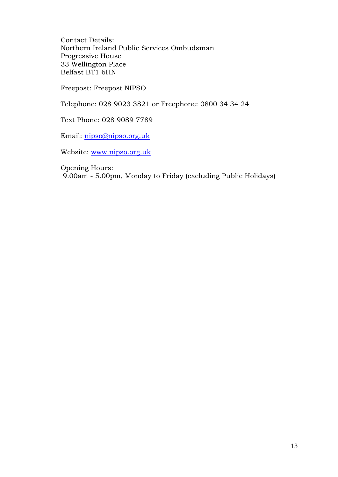Contact Details: Northern Ireland Public Services Ombudsman Progressive House 33 Wellington Place Belfast BT1 6HN

Freepost: Freepost NIPSO

Telephone: 028 9023 3821 or Freephone: 0800 34 34 24

Text Phone: 028 9089 7789

Email: [nipso@nipso.org.uk](mailto:nipso@nipso.org.uk)

Website: [www.nipso.org.uk](http://www.nipso.org.uk/)

Opening Hours:

9.00am - 5.00pm, Monday to Friday (excluding Public Holidays)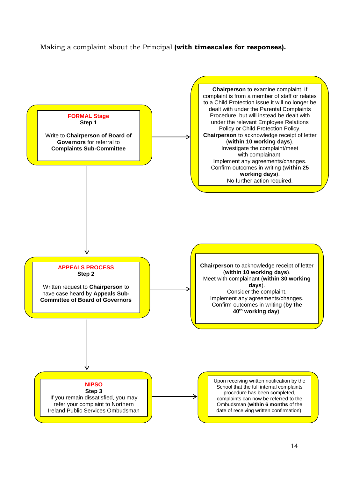## Making a complaint about the Principal **(with timescales for responses).**

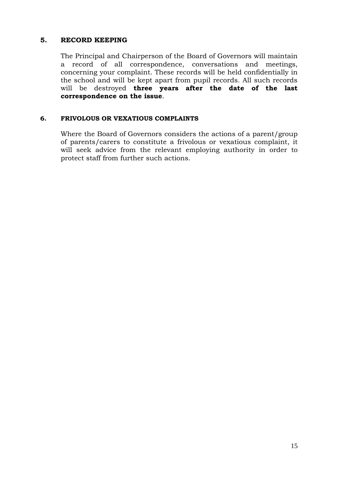# **5. RECORD KEEPING**

The Principal and Chairperson of the Board of Governors will maintain a record of all correspondence, conversations and meetings, concerning your complaint. These records will be held confidentially in the school and will be kept apart from pupil records. All such records will be destroyed **three years after the date of the last correspondence on the issue**.

## **6. FRIVOLOUS OR VEXATIOUS COMPLAINTS**

Where the Board of Governors considers the actions of a parent/group of parents/carers to constitute a frivolous or vexatious complaint, it will seek advice from the relevant employing authority in order to protect staff from further such actions.